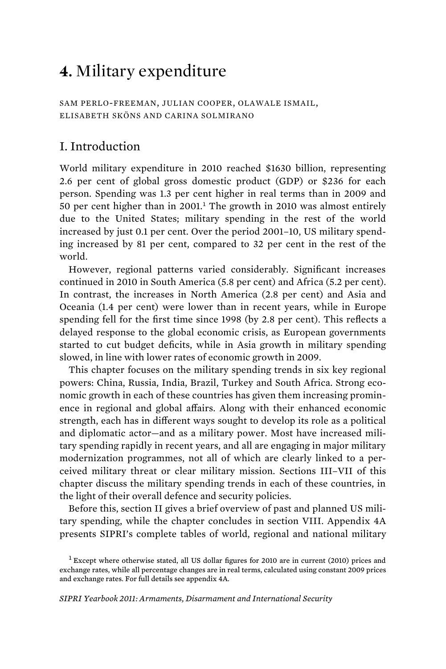# **4.** Military expenditure

SAM PERLO-FREEMAN, JULIAN COOPER, OLAWALE ISMAIL, ELISABETH SKÖNS AND CARINA SOLMIRANO

# I. Introduction

World military expenditure in 2010 reached \$1630 billion, representing 2.6 per cent of global gross domestic product (GDP) or \$236 for each person. Spending was 1.3 per cent higher in real terms than in 2009 and 50 per cent higher than in 2001.<sup>1</sup> The growth in 2010 was almost entirely due to the United States; military spending in the rest of the world increased by just 0.1 per cent. Over the period 2001–10, US military spending increased by 81 per cent, compared to 32 per cent in the rest of the world.

However, regional patterns varied considerably. Significant increases continued in 2010 in South America (5.8 per cent) and Africa (5.2 per cent). In contrast, the increases in North America (2.8 per cent) and Asia and Oceania (1.4 per cent) were lower than in recent years, while in Europe spending fell for the first time since 1998 (by 2.8 per cent). This reflects a delayed response to the global economic crisis, as European governments started to cut budget deficits, while in Asia growth in military spending slowed, in line with lower rates of economic growth in 2009.

This chapter focuses on the military spending trends in six key regional powers: China, Russia, India, Brazil, Turkey and South Africa. Strong economic growth in each of these countries has given them increasing prominence in regional and global affairs. Along with their enhanced economic strength, each has in different ways sought to develop its role as a political and diplomatic actor—and as a military power. Most have increased military spending rapidly in recent years, and all are engaging in major military modernization programmes, not all of which are clearly linked to a perceived military threat or clear military mission. Sections III–VII of this chapter discuss the military spending trends in each of these countries, in the light of their overall defence and security policies.

Before this, section II gives a brief overview of past and planned US military spending, while the chapter concludes in section VIII. Appendix 4A presents SIPRI's complete tables of world, regional and national military

<sup>&</sup>lt;sup>1</sup> Except where otherwise stated, all US dollar figures for 2010 are in current (2010) prices and exchange rates, while all percentage changes are in real terms, calculated using constant 2009 prices and exchange rates. For full details see appendix 4A.

*SIPRI Yearbook 2011: Armaments, Disarmament and International Security*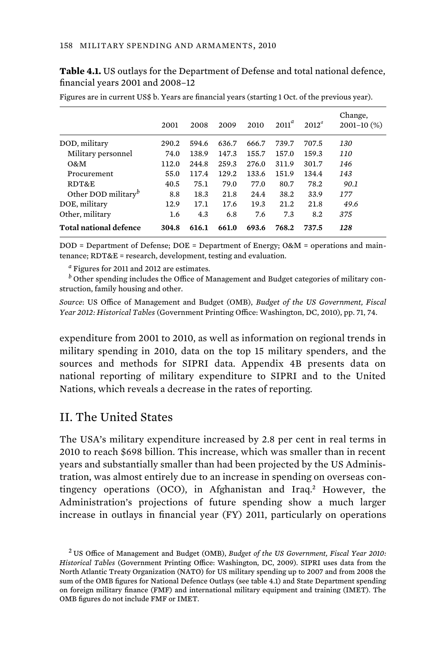|                                 | 2001  | 2008  | 2009  | 2010  | $2011^a$ | $2012^a$ | Change,<br>$2001 - 10$ (%) |
|---------------------------------|-------|-------|-------|-------|----------|----------|----------------------------|
| DOD, military                   | 290.2 | 594.6 | 636.7 | 666.7 | 739.7    | 707.5    | 130                        |
| Military personnel              | 74.0  | 138.9 | 147.3 | 155.7 | 157.0    | 159.3    | 110                        |
| O&M                             | 112.0 | 244.8 | 259.3 | 276.0 | 311.9    | 301.7    | 146                        |
| Procurement                     | 55.0  | 117.4 | 129.2 | 133.6 | 151.9    | 134.4    | 143                        |
| RDT&E                           | 40.5  | 75.1  | 79.0  | 77.0  | 80.7     | 78.2     | 90.1                       |
| Other DOD military <sup>b</sup> | 8.8   | 18.3  | 21.8  | 24.4  | 38.2     | 33.9     | 177                        |
| DOE, military                   | 12.9  | 17.1  | 17.6  | 19.3  | 21.2     | 21.8     | 49.6                       |
| Other, military                 | 1.6   | 4.3   | 6.8   | 7.6   | 7.3      | 8.2      | 375                        |
| <b>Total national defence</b>   | 304.8 | 616.1 | 661.0 | 693.6 | 768.2    | 737.5    | 128                        |

**Table 4.1.** US outlays for the Department of Defense and total national defence, financial years 2001 and 2008–12

Figures are in current US\$ b. Years are financial years (starting 1 Oct. of the previous year).

DOD = Department of Defense; DOE = Department of Energy; O&M = operations and maintenance; RDT&E = research, development, testing and evaluation.

*a* Figures for 2011 and 2012 are estimates.

*b* Other spending includes the Office of Management and Budget categories of military construction, family housing and other.

*Source*: US Office of Management and Budget (OMB), *Budget of the US Government, Fiscal Year 2012: Historical Tables* (Government Printing Office: Washington, DC, 2010), pp. 71, 74.

expenditure from 2001 to 2010, as well as information on regional trends in military spending in 2010, data on the top 15 military spenders, and the sources and methods for SIPRI data. Appendix 4B presents data on national reporting of military expenditure to SIPRI and to the United Nations, which reveals a decrease in the rates of reporting.

# II. The United States

The USA's military expenditure increased by 2.8 per cent in real terms in 2010 to reach \$698 billion. This increase, which was smaller than in recent years and substantially smaller than had been projected by the US Administration, was almost entirely due to an increase in spending on overseas contingency operations (OCO), in Afghanistan and Iraq.<sup>2</sup> However, the Administration's projections of future spending show a much larger increase in outlays in financial year (FY) 2011, particularly on operations

<sup>2</sup> US Office of Management and Budget (OMB), *Budget of the US Government, Fiscal Year 2010: Historical Tables* (Government Printing Office: Washington, DC, 2009). SIPRI uses data from the North Atlantic Treaty Organization (NATO) for US military spending up to 2007 and from 2008 the sum of the OMB figures for National Defence Outlays (see table 4.1) and State Department spending on foreign military finance (FMF) and international military equipment and training (IMET). The OMB figures do not include FMF or IMET.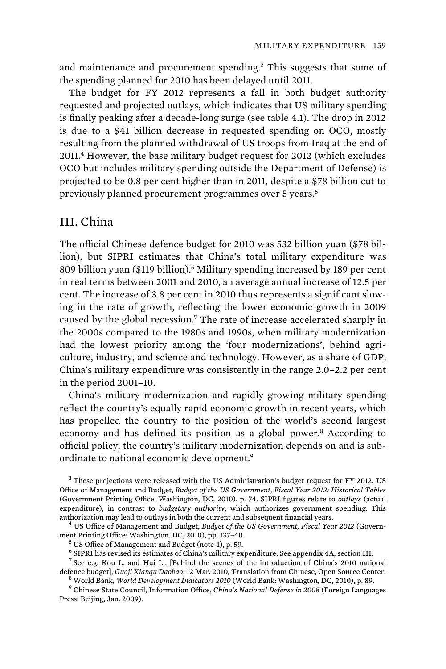and maintenance and procurement spending.<sup>3</sup> This suggests that some of the spending planned for 2010 has been delayed until 2011.

The budget for FY 2012 represents a fall in both budget authority requested and projected outlays, which indicates that US military spending is finally peaking after a decade-long surge (see table 4.1). The drop in 2012 is due to a \$41 billion decrease in requested spending on OCO, mostly resulting from the planned withdrawal of US troops from Iraq at the end of 2011.<sup>4</sup> However, the base military budget request for 2012 (which excludes OCO but includes military spending outside the Department of Defense) is projected to be 0.8 per cent higher than in 2011, despite a \$78 billion cut to previously planned procurement programmes over 5 years.<sup>5</sup>

# III. China

The official Chinese defence budget for 2010 was 532 billion yuan (\$78 billion), but SIPRI estimates that China's total military expenditure was 809 billion yuan (\$119 billion).<sup>6</sup> Military spending increased by 189 per cent in real terms between 2001 and 2010, an average annual increase of 12.5 per cent. The increase of 3.8 per cent in 2010 thus represents a significant slowing in the rate of growth, reflecting the lower economic growth in 2009 caused by the global recession.<sup>7</sup> The rate of increase accelerated sharply in the 2000s compared to the 1980s and 1990s, when military modernization had the lowest priority among the 'four modernizations', behind agriculture, industry, and science and technology. However, as a share of GDP, China's military expenditure was consistently in the range 2.0–2.2 per cent in the period 2001–10.

China's military modernization and rapidly growing military spending reflect the country's equally rapid economic growth in recent years, which has propelled the country to the position of the world's second largest economy and has defined its position as a global power.<sup>8</sup> According to official policy, the country's military modernization depends on and is subordinate to national economic development.<sup>9</sup>

<sup>&</sup>lt;sup>3</sup> These projections were released with the US Administration's budget request for FY 2012. US Office of Management and Budget, *Budget of the US Government, Fiscal Year 2012: Historical Tables* (Government Printing Office: Washington, DC, 2010), p. 74. SIPRI figures relate to *outlays* (actual expenditure), in contrast to *budgetary authority*, which authorizes government spending. This authorization may lead to outlays in both the current and subsequent financial years. <sup>4</sup>

US Office of Management and Budget, *Budget of the US Government, Fiscal Year 2012* (Government Printing Office: Washington, DC, 2010), pp. 137–40. <sup>5</sup>

<sup>&</sup>lt;sup>5</sup> US Office of Management and Budget (note 4), p. 59.

<sup>&</sup>lt;sup>6</sup> SIPRI has revised its estimates of China's military expenditure. See appendix 4A, section III.

<sup>&</sup>lt;sup>7</sup> See e.g. Kou L. and Hui L., [Behind the scenes of the introduction of China's 2010 national defence budget], *Guoji Xianqu Daobao*, 12 Mar. 2010, Translation from Chinese, Open Source Center. <sup>8</sup> World Bank, *World Development Indicators 2010* (World Bank: Washington, DC, 2010), p. 89. <sup>9</sup>

Chinese State Council, Information Office, *China's National Defense in 2008* (Foreign Languages Press: Beijing, Jan. 2009).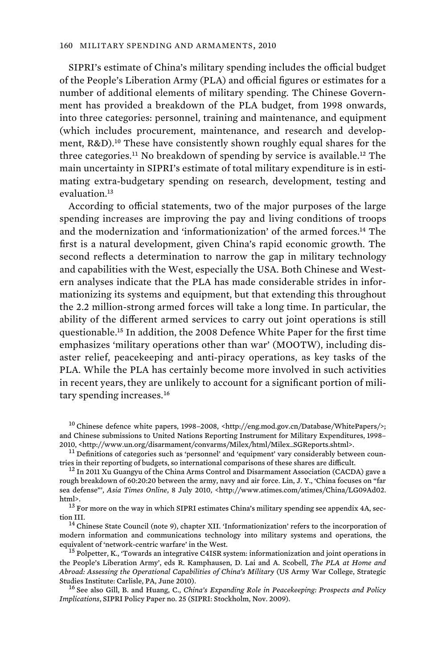SIPRI's estimate of China's military spending includes the official budget of the People's Liberation Army (PLA) and official figures or estimates for a number of additional elements of military spending. The Chinese Government has provided a breakdown of the PLA budget, from 1998 onwards, into three categories: personnel, training and maintenance, and equipment (which includes procurement, maintenance, and research and development, R&D).<sup>10</sup> These have consistently shown roughly equal shares for the three categories.<sup>11</sup> No breakdown of spending by service is available.<sup>12</sup> The main uncertainty in SIPRI's estimate of total military expenditure is in estimating extra-budgetary spending on research, development, testing and evaluation.<sup>13</sup>

According to official statements, two of the major purposes of the large spending increases are improving the pay and living conditions of troops and the modernization and 'informationization' of the armed forces.<sup>14</sup> The first is a natural development, given China's rapid economic growth. The second reflects a determination to narrow the gap in military technology and capabilities with the West, especially the USA. Both Chinese and Western analyses indicate that the PLA has made considerable strides in informationizing its systems and equipment, but that extending this throughout the 2.2 million-strong armed forces will take a long time. In particular, the ability of the different armed services to carry out joint operations is still questionable.<sup>15</sup> In addition, the 2008 Defence White Paper for the first time emphasizes 'military operations other than war' (MOOTW), including disaster relief, peacekeeping and anti-piracy operations, as key tasks of the PLA. While the PLA has certainly become more involved in such activities in recent years, they are unlikely to account for a significant portion of military spending increases.<sup>16</sup>

<sup>&</sup>lt;sup>10</sup> Chinese defence white papers, 1998–2008, <http://eng.mod.gov.cn/Database/WhitePapers/>; and Chinese submissions to United Nations Reporting Instrument for Military Expenditures, 1998–<br>2010, <http://www.un.org/disarmament/convarms/Milex/html/Milex\_SGReports.shtml>.

 $^{11}$  Definitions of categories such as 'personnel' and 'equipment' vary considerably between countries in their reporting of budgets, so international comparisons of these shares are difficult.

 $12$  In 2011 Xu Guangyu of the China Arms Control and Disarmament Association (CACDA) gave a rough breakdown of 60:20:20 between the army, navy and air force. Lin, J. Y., 'China focuses on "far sea defense"', *Asia Times Online*, 8 July 2010, <http://www.atimes.com/atimes/China/LG09Ad02.<br>html>.

 $^{13}$  For more on the way in which SIPRI estimates China's military spending see appendix 4A, section III.<br> $14$  Chinese State Council (note 9), chapter XII. 'Informationization' refers to the incorporation of

modern information and communications technology into military systems and operations, the equivalent of 'network-centric warfare' in the West.  $^{15}$  Polpetter, K., 'Towards an integrative C4ISR system: informationization and joint operations in

the People's Liberation Army', eds R. Kamphausen, D. Lai and A. Scobell, *The PLA at Home and Abroad: Assessing the Operational Capabilities of China's Military* (US Army War College, Strategic Studies Institute: Carlisle, PA, June 2010). 16 See also Gill, B. and Huang, C., *China's Expanding Role in Peacekeeping: Prospects and Policy* 

*Implications*, SIPRI Policy Paper no. 25 (SIPRI: Stockholm, Nov. 2009).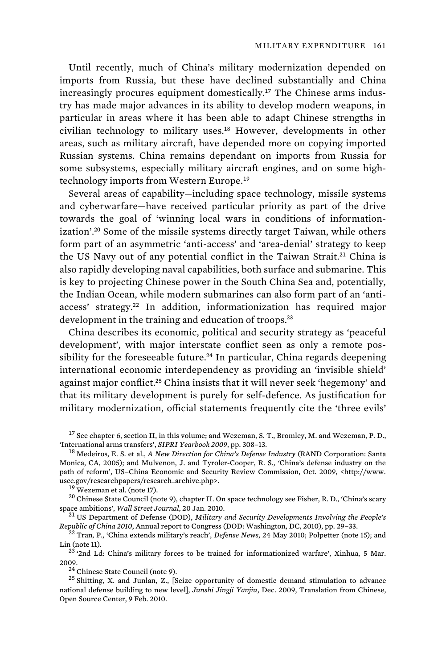Until recently, much of China's military modernization depended on imports from Russia, but these have declined substantially and China increasingly procures equipment domestically.<sup>17</sup> The Chinese arms industry has made major advances in its ability to develop modern weapons, in particular in areas where it has been able to adapt Chinese strengths in civilian technology to military uses.<sup>18</sup> However, developments in other areas, such as military aircraft, have depended more on copying imported Russian systems. China remains dependant on imports from Russia for some subsystems, especially military aircraft engines, and on some hightechnology imports from Western Europe.<sup>19</sup>

Several areas of capability—including space technology, missile systems and cyberwarfare—have received particular priority as part of the drive towards the goal of 'winning local wars in conditions of informationization'.<sup>20</sup> Some of the missile systems directly target Taiwan, while others form part of an asymmetric 'anti-access' and 'area-denial' strategy to keep the US Navy out of any potential conflict in the Taiwan Strait.<sup>21</sup> China is also rapidly developing naval capabilities, both surface and submarine. This is key to projecting Chinese power in the South China Sea and, potentially, the Indian Ocean, while modern submarines can also form part of an 'antiaccess' strategy.<sup>22</sup> In addition, informationization has required major development in the training and education of troops.<sup>23</sup>

China describes its economic, political and security strategy as 'peaceful development', with major interstate conflict seen as only a remote possibility for the foreseeable future.<sup>24</sup> In particular, China regards deepening international economic interdependency as providing an 'invisible shield' against major conflict.<sup>25</sup> China insists that it will never seek 'hegemony' and that its military development is purely for self-defence. As justification for military modernization, official statements frequently cite the 'three evils'

<sup>19</sup> Wezeman et al. (note 17).<br><sup>20</sup> Chinese State Council (note 9), chapter II. On space technology see Fisher, R. D., 'China's scary space ambitions', *Wall Street Journal*, 20 Jan. 2010.

<sup>21</sup> US Department of Defense (DOD), *Military and Security Developments Involving the People's* 

*Republic of China 2010*, Annual report to Congress (DOD: Washington, DC, 2010), pp. 29–33.<br><sup>22</sup> Tran, P., 'China extends military's reach', *Defense News*, 24 May 2010; Polpetter (note 15); and<br>Lin (note 15); and<br><sup>23</sup> (1,

<sup>23</sup> '2nd Ld: China's military forces to be trained for informationized warfare', Xinhua, 5 Mar.<br>2009.<br><sup>24</sup> Chinese State Council (note 9).

<sup>25</sup> Shitting, X. and Junlan, Z., [Seize opportunity of domestic demand stimulation to advance national defense building to new level], *Junshi Jingji Yanjiu*, Dec. 2009, Translation from Chinese, Open Source Center, 9 Feb. 2010.

 $^{17}$  See chapter 6, section II, in this volume; and Wezeman, S. T., Bromley, M. and Wezeman, P. D., Thternational arms transfers', *SIPRI Yearbook 2009*, pp. 308–13.

<sup>&</sup>lt;sup>18</sup> Medeiros, E. S. et al., *A New Direction for China's Defense Industry* (RAND Corporation: Santa Monica, CA, 2005); and Mulvenon, J. and Tyroler-Cooper, R. S., 'China's defense industry on the path of reform', US–China Economic and Security Review Commission, Oct. 2009, <http://www.<br>uscc.gov/researchpapers/research\_archive.php>.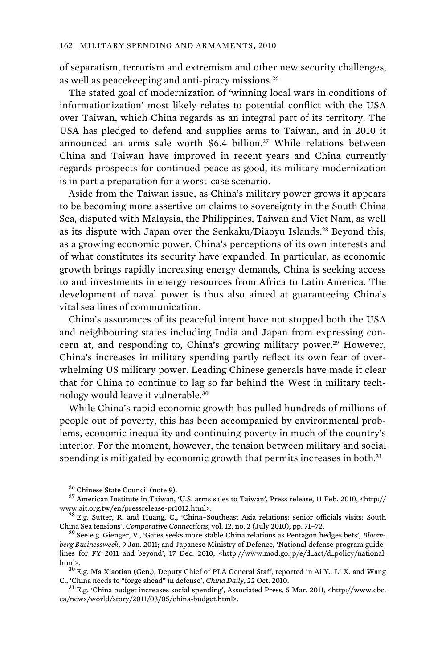of separatism, terrorism and extremism and other new security challenges, as well as peacekeeping and anti-piracy missions.<sup>26</sup>

The stated goal of modernization of 'winning local wars in conditions of informationization' most likely relates to potential conflict with the USA over Taiwan, which China regards as an integral part of its territory. The USA has pledged to defend and supplies arms to Taiwan, and in 2010 it announced an arms sale worth \$6.4 billion.<sup>27</sup> While relations between China and Taiwan have improved in recent years and China currently regards prospects for continued peace as good, its military modernization is in part a preparation for a worst-case scenario.

Aside from the Taiwan issue, as China's military power grows it appears to be becoming more assertive on claims to sovereignty in the South China Sea, disputed with Malaysia, the Philippines, Taiwan and Viet Nam, as well as its dispute with Japan over the Senkaku/Diaoyu Islands.<sup>28</sup> Beyond this, as a growing economic power, China's perceptions of its own interests and of what constitutes its security have expanded. In particular, as economic growth brings rapidly increasing energy demands, China is seeking access to and investments in energy resources from Africa to Latin America. The development of naval power is thus also aimed at guaranteeing China's vital sea lines of communication.

China's assurances of its peaceful intent have not stopped both the USA and neighbouring states including India and Japan from expressing concern at, and responding to, China's growing military power.<sup>29</sup> However, China's increases in military spending partly reflect its own fear of overwhelming US military power. Leading Chinese generals have made it clear that for China to continue to lag so far behind the West in military technology would leave it vulnerable.<sup>30</sup>

While China's rapid economic growth has pulled hundreds of millions of people out of poverty, this has been accompanied by environmental problems, economic inequality and continuing poverty in much of the country's interior. For the moment, however, the tension between military and social spending is mitigated by economic growth that permits increases in both.<sup>31</sup>

 $^{26}$  Chinese State Council (note 9).<br> $^{27}$  American Institute in Taiwan, 'U.S. arms sales to Taiwan', Press release, 11 Feb. 2010, <http:// www.ait.org.tw/en/pressrelease-pr1012.html>.<br><sup>28</sup> E.g. Sutter, R. and Huang, C., 'China–Southeast Asia relations: senior officials visits; South

China Sea tensions', *Comparative Connections*, vol. 12, no. 2 (July 2010), pp. 71–72. 29 See e.g. Gienger, V., 'Gates seeks more stable China relations as Pentagon hedges bets', *Bloom-*

*berg Businessweek*, 9 Jan. 2011; and Japanese Ministry of Defence, 'National defense program guidelines for FY 2011 and beyond', 17 Dec. 2010, <http://www.mod.go.jp/e/d\_act/d\_policy/national. html>. $^{30}$ E.g. Ma Xiaotian (Gen.), Deputy Chief of PLA General Staff, reported in Ai Y., Li X. and Wang

C., 'China needs to "forge ahead" in defense', *China Daily*, 22 Oct. 2010. 31 E.g. 'China budget increases social spending', Associated Press, 5 Mar. 2011, <http://www.cbc.

ca/news/world/story/2011/03/05/china-budget.html>.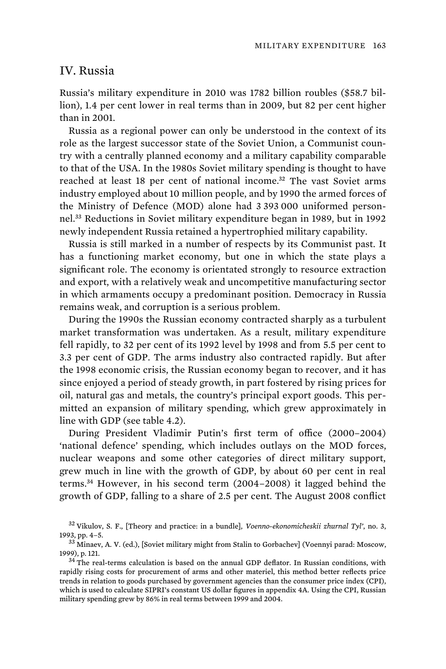## IV. Russia

Russia's military expenditure in 2010 was 1782 billion roubles (\$58.7 billion), 1.4 per cent lower in real terms than in 2009, but 82 per cent higher than in 2001.

Russia as a regional power can only be understood in the context of its role as the largest successor state of the Soviet Union, a Communist country with a centrally planned economy and a military capability comparable to that of the USA. In the 1980s Soviet military spending is thought to have reached at least 18 per cent of national income.<sup>32</sup> The vast Soviet arms industry employed about 10 million people, and by 1990 the armed forces of the Ministry of Defence (MOD) alone had 3 393 000 uniformed personnel.<sup>33</sup> Reductions in Soviet military expenditure began in 1989, but in 1992 newly independent Russia retained a hypertrophied military capability.

Russia is still marked in a number of respects by its Communist past. It has a functioning market economy, but one in which the state plays a significant role. The economy is orientated strongly to resource extraction and export, with a relatively weak and uncompetitive manufacturing sector in which armaments occupy a predominant position. Democracy in Russia remains weak, and corruption is a serious problem.

During the 1990s the Russian economy contracted sharply as a turbulent market transformation was undertaken. As a result, military expenditure fell rapidly, to 32 per cent of its 1992 level by 1998 and from 5.5 per cent to 3.3 per cent of GDP. The arms industry also contracted rapidly. But after the 1998 economic crisis, the Russian economy began to recover, and it has since enjoyed a period of steady growth, in part fostered by rising prices for oil, natural gas and metals, the country's principal export goods. This permitted an expansion of military spending, which grew approximately in line with GDP (see table 4.2).

During President Vladimir Putin's first term of office (2000–2004) 'national defence' spending, which includes outlays on the MOD forces, nuclear weapons and some other categories of direct military support, grew much in line with the growth of GDP, by about 60 per cent in real terms.<sup>34</sup> However, in his second term (2004–2008) it lagged behind the growth of GDP, falling to a share of 2.5 per cent. The August 2008 conflict

<sup>32</sup> Vikulov, S. F., [Theory and practice: in a bundle], *Voenno-ekonomicheskii zhurnal Tyl'*, no. 3,

<sup>&</sup>lt;sup>33</sup> Minaev, A. V. (ed.), [Soviet military might from Stalin to Gorbachev] (Voennyi parad: Moscow, 1999), p. 121. 34 The real-terms calculation is based on the annual GDP deflator. In Russian conditions, with

rapidly rising costs for procurement of arms and other materiel, this method better reflects price trends in relation to goods purchased by government agencies than the consumer price index (CPI), which is used to calculate SIPRI's constant US dollar figures in appendix 4A. Using the CPI, Russian military spending grew by 86% in real terms between 1999 and 2004.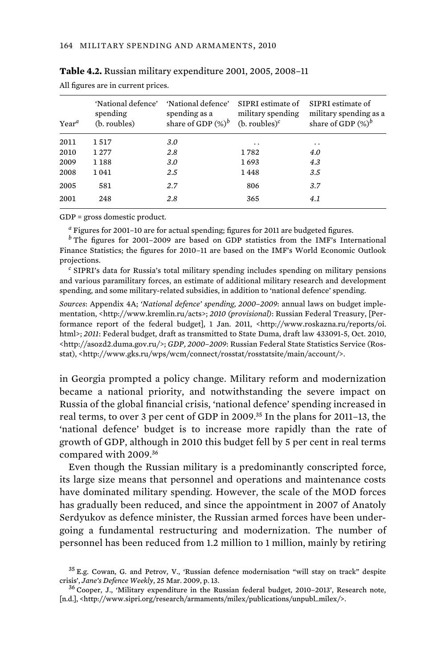| $Year^a$ | 'National defence'<br>spending<br>(b. roubles) | 'National defence'<br>spending as a<br>share of GDP $(\%)^b$ | SIPRI estimate of<br>military spending<br>$(b.$ roubles) <sup>c</sup> | SIPRI estimate of<br>military spending as a<br>share of GDP $(\%)^b$ |
|----------|------------------------------------------------|--------------------------------------------------------------|-----------------------------------------------------------------------|----------------------------------------------------------------------|
| 2011     | 1517                                           | 3.0                                                          | . .                                                                   | $\ddot{\phantom{0}}$                                                 |
| 2010     | 1277                                           | 2.8                                                          | 1782                                                                  | 4.0                                                                  |
| 2009     | 1 1 8 8                                        | 3.0                                                          | 1693                                                                  | 4.3                                                                  |
| 2008     | 1041                                           | 2.5                                                          | 1448                                                                  | 3.5                                                                  |
| 2005     | 581                                            | 2.7                                                          | 806                                                                   | 3.7                                                                  |
| 2001     | 248                                            | 2.8                                                          | 365                                                                   | 4.1                                                                  |

| Table 4.2. Russian military expenditure 2001, 2005, 2008-11 |  |
|-------------------------------------------------------------|--|
| All figures are in current prices.                          |  |

GDP = gross domestic product.

*a* Figures for 2001–10 are for actual spending; figures for 2011 are budgeted figures.

*b* The figures for 2001–2009 are based on GDP statistics from the IMF's International Finance Statistics; the figures for 2010–11 are based on the IMF's World Economic Outlook projections.

<sup>c</sup> SIPRI's data for Russia's total military spending includes spending on military pensions and various paramilitary forces, an estimate of additional military research and development spending, and some military-related subsidies, in addition to 'national defence' spending.

*Sources*: Appendix 4A; *'National defence' spending, 2000–2009*: annual laws on budget implementation, <http://www.kremlin.ru/acts>; *2010 (provisional)*: Russian Federal Treasury, [Performance report of the federal budget], 1 Jan. 2011, <http://www.roskazna.ru/reports/oi. html>; *2011*: Federal budget, draft as transmitted to State Duma, draft law 433091-5, Oct. 2010, <http://asozd2.duma.gov.ru/>; *GDP, 2000–2009*: Russian Federal State Statistics Service (Rosstat), <http://www.gks.ru/wps/wcm/connect/rosstat/rosstatsite/main/account/>.

in Georgia prompted a policy change. Military reform and modernization became a national priority, and notwithstanding the severe impact on Russia of the global financial crisis, 'national defence' spending increased in real terms, to over 3 per cent of GDP in 2009.<sup>35</sup> In the plans for 2011–13, the 'national defence' budget is to increase more rapidly than the rate of growth of GDP, although in 2010 this budget fell by 5 per cent in real terms compared with 2009.<sup>36</sup>

Even though the Russian military is a predominantly conscripted force, its large size means that personnel and operations and maintenance costs have dominated military spending. However, the scale of the MOD forces has gradually been reduced, and since the appointment in 2007 of Anatoly Serdyukov as defence minister, the Russian armed forces have been undergoing a fundamental restructuring and modernization. The number of personnel has been reduced from 1.2 million to 1 million, mainly by retiring

<sup>35</sup> E.g. Cowan, G. and Petrov, V., 'Russian defence modernisation "will stay on track" despite crisis', *Jane's Defence Weekly*, 25 Mar. 2009, p. 13.<br><sup>36</sup> Cooper, J., 'Military expenditure in the Russian federal budget, 2010–2013', Research note,

<sup>[</sup>n.d.], <http://www.sipri.org/research/armaments/milex/publications/unpubl\_milex/>.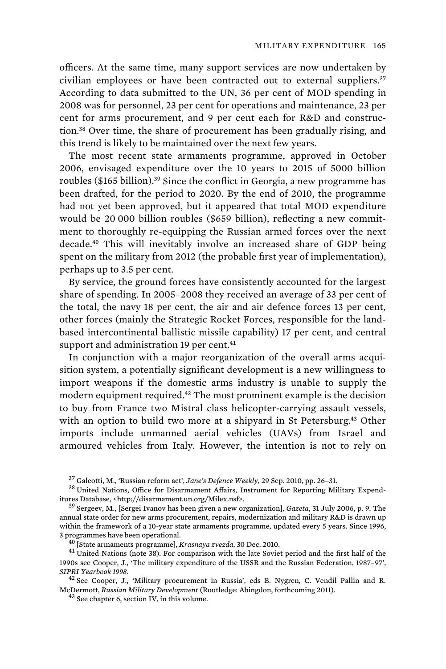officers. At the same time, many support services are now undertaken by civilian employees or have been contracted out to external suppliers.<sup>37</sup> According to data submitted to the UN, 36 per cent of MOD spending in 2008 was for personnel, 23 per cent for operations and maintenance, 23 per cent for arms procurement, and 9 per cent each for R&D and construction.<sup>38</sup> Over time, the share of procurement has been gradually rising, and this trend is likely to be maintained over the next few years.

The most recent state armaments programme, approved in October 2006, envisaged expenditure over the 10 years to 2015 of 5000 billion roubles (\$165 billion).<sup>39</sup> Since the conflict in Georgia, a new programme has been drafted, for the period to 2020. By the end of 2010, the programme had not yet been approved, but it appeared that total MOD expenditure would be 20 000 billion roubles (\$659 billion), reflecting a new commitment to thoroughly re-equipping the Russian armed forces over the next decade.<sup>40</sup> This will inevitably involve an increased share of GDP being spent on the military from 2012 (the probable first year of implementation), perhaps up to 3.5 per cent.

By service, the ground forces have consistently accounted for the largest share of spending. In 2005–2008 they received an average of 33 per cent of the total, the navy 18 per cent, the air and air defence forces 13 per cent, other forces (mainly the Strategic Rocket Forces, responsible for the landbased intercontinental ballistic missile capability) 17 per cent, and central support and administration 19 per cent.<sup>41</sup>

In conjunction with a major reorganization of the overall arms acquisition system, a potentially significant development is a new willingness to import weapons if the domestic arms industry is unable to supply the modern equipment required.<sup>42</sup> The most prominent example is the decision to buy from France two Mistral class helicopter-carrying assault vessels, with an option to build two more at a shipyard in St Petersburg.<sup>43</sup> Other imports include unmanned aerial vehicles (UAVs) from Israel and armoured vehicles from Italy. However, the intention is not to rely on

<sup>&</sup>lt;sup>37</sup> Galeotti, M., 'Russian reform act', *Jane's Defence Weekly*, 29 Sep. 2010, pp. 26–31.<br><sup>38</sup> United Nations, Office for Disarmament Affairs, Instrument for Reporting Military Expend-<br>itures Database, <http://disarmament

<sup>&</sup>lt;sup>39</sup> Sergeev, M., [Sergei Ivanov has been given a new organization], *Gazeta*, 31 July 2006, p. 9. The annual state order for new arms procurement, repairs, modernization and military R&D is drawn up within the framework of a 10-year state armaments programme, updated every 5 years. Since 1996, 3 programmes have been operational. 40 [State armaments programme], *Krasnaya zvezda*, 30 Dec. 2010. 41 United Nations (note 38). For comparison with the late Soviet period and the first half of the

<sup>1990</sup>s see Cooper, J., 'The military expenditure of the USSR and the Russian Federation, 1987–97', *SIPRI Yearbook 1998*. 42 See Cooper, J., 'Military procurement in Russia', eds B. Nygren, C. Vendil Pallin and R.

McDermott, *Russian Military Development* (Routledge: Abingdon, forthcoming 2011). 43 See chapter 6, section IV, in this volume.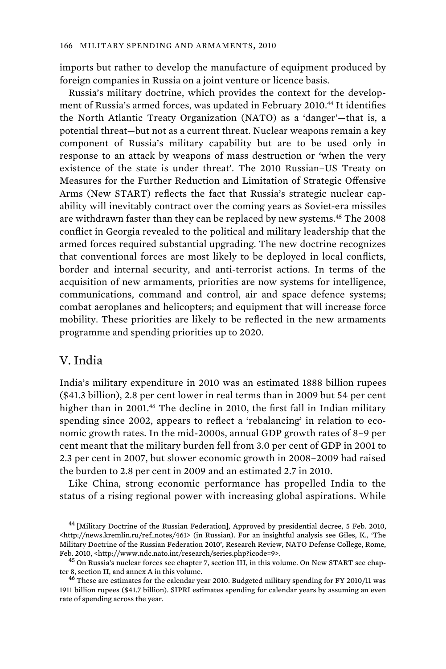imports but rather to develop the manufacture of equipment produced by foreign companies in Russia on a joint venture or licence basis.

Russia's military doctrine, which provides the context for the development of Russia's armed forces, was updated in February 2010.<sup>44</sup> It identifies the North Atlantic Treaty Organization (NATO) as a 'danger'—that is, a potential threat—but not as a current threat. Nuclear weapons remain a key component of Russia's military capability but are to be used only in response to an attack by weapons of mass destruction or 'when the very existence of the state is under threat'. The 2010 Russian–US Treaty on Measures for the Further Reduction and Limitation of Strategic Offensive Arms (New START) reflects the fact that Russia's strategic nuclear capability will inevitably contract over the coming years as Soviet-era missiles are withdrawn faster than they can be replaced by new systems.<sup>45</sup> The 2008 conflict in Georgia revealed to the political and military leadership that the armed forces required substantial upgrading. The new doctrine recognizes that conventional forces are most likely to be deployed in local conflicts, border and internal security, and anti-terrorist actions. In terms of the acquisition of new armaments, priorities are now systems for intelligence, communications, command and control, air and space defence systems; combat aeroplanes and helicopters; and equipment that will increase force mobility. These priorities are likely to be reflected in the new armaments programme and spending priorities up to 2020.

#### V. India

India's military expenditure in 2010 was an estimated 1888 billion rupees (\$41.3 billion), 2.8 per cent lower in real terms than in 2009 but 54 per cent higher than in 2001.<sup>46</sup> The decline in 2010, the first fall in Indian military spending since 2002, appears to reflect a 'rebalancing' in relation to economic growth rates. In the mid-2000s, annual GDP growth rates of 8–9 per cent meant that the military burden fell from 3.0 per cent of GDP in 2001 to 2.3 per cent in 2007, but slower economic growth in 2008–2009 had raised the burden to 2.8 per cent in 2009 and an estimated 2.7 in 2010.

Like China, strong economic performance has propelled India to the status of a rising regional power with increasing global aspirations. While

<sup>&</sup>lt;sup>44</sup> [Military Doctrine of the Russian Federation], Approved by presidential decree, 5 Feb. 2010, <http://news.kremlin.ru/ref\_notes/461> (in Russian). For an insightful analysis see Giles, K., 'The Military Doctrine of the Russian Federation 2010', Research Review, NATO Defense College, Rome, Feb. 2010, <http://www.ndc.nato.int/research/series.php?icode=9>. 45 On Russia's nuclear forces see chapter 7, section III, in this volume. On New START see chap-

ter 8, section II, and annex A in this volume.<br> $46$  These are estimates for the calendar year 2010. Budgeted military spending for FY 2010/11 was

<sup>1911</sup> billion rupees (\$41.7 billion). SIPRI estimates spending for calendar years by assuming an even rate of spending across the year.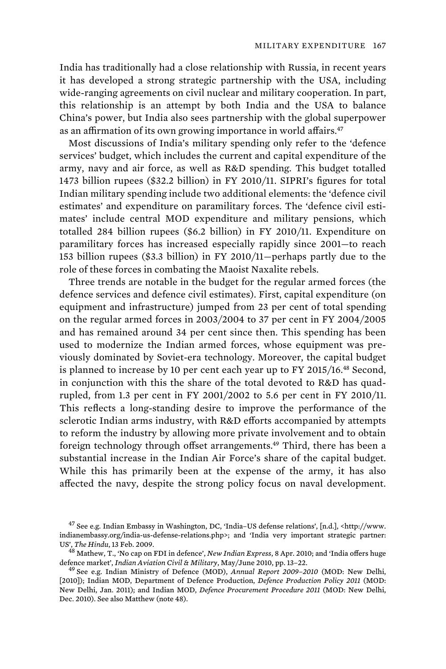India has traditionally had a close relationship with Russia, in recent years it has developed a strong strategic partnership with the USA, including wide-ranging agreements on civil nuclear and military cooperation. In part, this relationship is an attempt by both India and the USA to balance China's power, but India also sees partnership with the global superpower as an affirmation of its own growing importance in world affairs.<sup>47</sup>

Most discussions of India's military spending only refer to the 'defence services' budget, which includes the current and capital expenditure of the army, navy and air force, as well as R&D spending. This budget totalled 1473 billion rupees (\$32.2 billion) in FY 2010/11. SIPRI's figures for total Indian military spending include two additional elements: the 'defence civil estimates' and expenditure on paramilitary forces. The 'defence civil estimates' include central MOD expenditure and military pensions, which totalled 284 billion rupees (\$6.2 billion) in FY 2010/11. Expenditure on paramilitary forces has increased especially rapidly since 2001—to reach 153 billion rupees (\$3.3 billion) in FY 2010/11—perhaps partly due to the role of these forces in combating the Maoist Naxalite rebels.

Three trends are notable in the budget for the regular armed forces (the defence services and defence civil estimates). First, capital expenditure (on equipment and infrastructure) jumped from 23 per cent of total spending on the regular armed forces in 2003/2004 to 37 per cent in FY 2004/2005 and has remained around 34 per cent since then. This spending has been used to modernize the Indian armed forces, whose equipment was previously dominated by Soviet-era technology. Moreover, the capital budget is planned to increase by 10 per cent each year up to FY 2015/16.<sup>48</sup> Second, in conjunction with this the share of the total devoted to R&D has quadrupled, from 1.3 per cent in FY 2001/2002 to 5.6 per cent in FY 2010/11. This reflects a long-standing desire to improve the performance of the sclerotic Indian arms industry, with R&D efforts accompanied by attempts to reform the industry by allowing more private involvement and to obtain foreign technology through offset arrangements.<sup>49</sup> Third, there has been a substantial increase in the Indian Air Force's share of the capital budget. While this has primarily been at the expense of the army, it has also affected the navy, despite the strong policy focus on naval development.

<sup>&</sup>lt;sup>47</sup> See e.g. Indian Embassy in Washington, DC, 'India-US defense relations', [n.d.], <http://www. indianembassy.org/india-us-defense-relations.php>; and 'India very important strategic partner:

US', *The Hindu*, 13 Feb. 2009. 48 Mathew, T., 'No cap on FDI in defence', *New Indian Express*, 8 Apr. 2010; and 'India offers huge defence market', *Indian Aviation Civil & Military*, May/June 2010, pp. 13–22. 49 See e.g. Indian Ministry of Defence (MOD), *Annual Report 2009–2010* (MOD: New Delhi,

<sup>[2010]);</sup> Indian MOD, Department of Defence Production, *Defence Production Policy 2011* (MOD: New Delhi, Jan. 2011); and Indian MOD, *Defence Procurement Procedure 2011* (MOD: New Delhi, Dec. 2010). See also Matthew (note 48).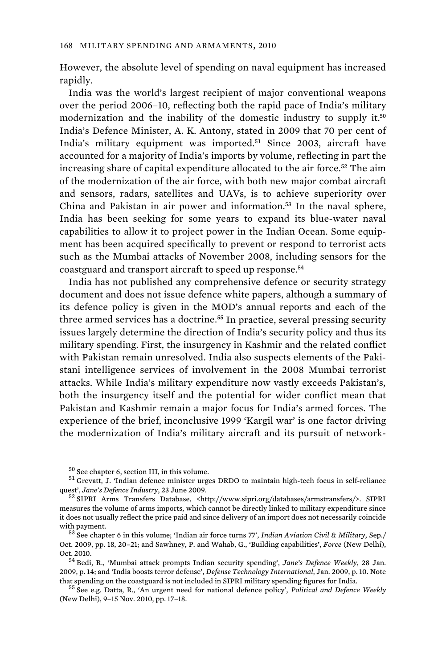However, the absolute level of spending on naval equipment has increased rapidly.

India was the world's largest recipient of major conventional weapons over the period 2006–10, reflecting both the rapid pace of India's military modernization and the inability of the domestic industry to supply it.<sup>50</sup> India's Defence Minister, A. K. Antony, stated in 2009 that 70 per cent of India's military equipment was imported.<sup>51</sup> Since 2003, aircraft have accounted for a majority of India's imports by volume, reflecting in part the increasing share of capital expenditure allocated to the air force.<sup>52</sup> The aim of the modernization of the air force, with both new major combat aircraft and sensors, radars, satellites and UAVs, is to achieve superiority over China and Pakistan in air power and information.<sup>53</sup> In the naval sphere, India has been seeking for some years to expand its blue-water naval capabilities to allow it to project power in the Indian Ocean. Some equipment has been acquired specifically to prevent or respond to terrorist acts such as the Mumbai attacks of November 2008, including sensors for the coastguard and transport aircraft to speed up response.<sup>54</sup>

India has not published any comprehensive defence or security strategy document and does not issue defence white papers, although a summary of its defence policy is given in the MOD's annual reports and each of the three armed services has a doctrine.<sup>55</sup> In practice, several pressing security issues largely determine the direction of India's security policy and thus its military spending. First, the insurgency in Kashmir and the related conflict with Pakistan remain unresolved. India also suspects elements of the Pakistani intelligence services of involvement in the 2008 Mumbai terrorist attacks. While India's military expenditure now vastly exceeds Pakistan's, both the insurgency itself and the potential for wider conflict mean that Pakistan and Kashmir remain a major focus for India's armed forces. The experience of the brief, inconclusive 1999 'Kargil war' is one factor driving the modernization of India's military aircraft and its pursuit of network-

 $^{50}$  See chapter 6, section III, in this volume.<br> $^{51}$  Grevatt, J. 'Indian defence minister urges DRDO to maintain high-tech focus in self-reliance quest', Jane's Defence Industry, 23 June 2009.<br><sup>52</sup> SIPRI Arms Transfers Database, <http://www.sipri.org/databases/armstransfers/>. SIPRI

measures the volume of arms imports, which cannot be directly linked to military expenditure since it does not usually reflect the price paid and since delivery of an import does not necessarily coincide with payment. 53 See chapter 6 in this volume; 'Indian air force turns 77', *Indian Aviation Civil & Military*, Sep./

Oct. 2009, pp. 18, 20–21; and Sawhney, P. and Wahab, G., 'Building capabilities', *Force* (New Delhi),

<sup>&</sup>lt;sup>54</sup> Bedi, R., 'Mumbai attack prompts Indian security spending', *Jane's Defence Weekly*, 28 Jan. 2009, p. 14; and 'India boosts terror defense', *Defense Technology International*, Jan. 2009, p. 10. Note that spending on the coastguard is not included in SIPRI military spending figures for India. 55 See e.g. Datta, R., 'An urgent need for national defence policy', *Political and Defence Weekly*

<sup>(</sup>New Delhi), 9–15 Nov. 2010, pp. 17–18.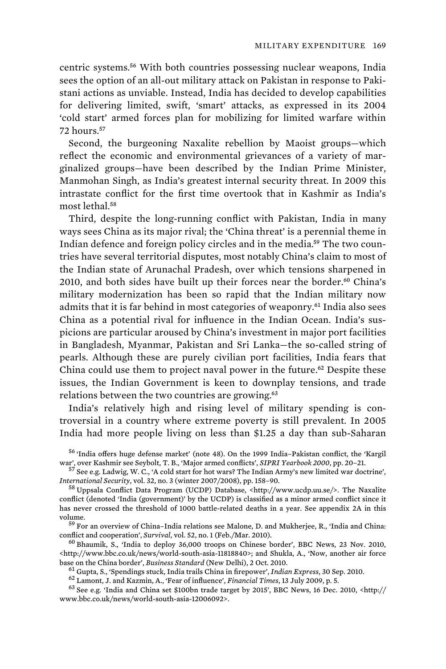centric systems.<sup>56</sup> With both countries possessing nuclear weapons, India sees the option of an all-out military attack on Pakistan in response to Pakistani actions as unviable. Instead, India has decided to develop capabilities for delivering limited, swift, 'smart' attacks, as expressed in its 2004 'cold start' armed forces plan for mobilizing for limited warfare within 72 hours.<sup>57</sup>

Second, the burgeoning Naxalite rebellion by Maoist groups—which reflect the economic and environmental grievances of a variety of marginalized groups—have been described by the Indian Prime Minister, Manmohan Singh, as India's greatest internal security threat. In 2009 this intrastate conflict for the first time overtook that in Kashmir as India's most lethal.<sup>58</sup>

Third, despite the long-running conflict with Pakistan, India in many ways sees China as its major rival; the 'China threat' is a perennial theme in Indian defence and foreign policy circles and in the media.59 The two countries have several territorial disputes, most notably China's claim to most of the Indian state of Arunachal Pradesh, over which tensions sharpened in 2010, and both sides have built up their forces near the border.<sup>60</sup> China's military modernization has been so rapid that the Indian military now admits that it is far behind in most categories of weaponry.<sup>61</sup> India also sees China as a potential rival for influence in the Indian Ocean. India's suspicions are particular aroused by China's investment in major port facilities in Bangladesh, Myanmar, Pakistan and Sri Lanka—the so-called string of pearls. Although these are purely civilian port facilities, India fears that China could use them to project naval power in the future.<sup>62</sup> Despite these issues, the Indian Government is keen to downplay tensions, and trade relations between the two countries are growing.<sup>63</sup>

India's relatively high and rising level of military spending is controversial in a country where extreme poverty is still prevalent. In 2005 India had more people living on less than \$1.25 a day than sub-Saharan

 $^{56}$  'India offers huge defense market' (note 48). On the 1999 India–Pakistan conflict, the 'Kargil war', over Kashmir see Seybolt, T. B., 'Major armed conflicts', *SIPRI Yearbook 2000*, pp. 20–21.

<sup>57</sup> See e.g. Ladwig, W. C., 'A cold start for hot wars? The Indian Army's new limited war doctrine', *International Security*, vol. 32, no. 3 (winter 2007/2008), pp. 158–90.

<sup>58</sup> Uppsala Conflict Data Program (UCDP) Database, <http://www.ucdp.uu.se/>. The Naxalite conflict (denoted 'India (government)' by the UCDP) is classified as a minor armed conflict since it has never crossed the threshold of 1000 battle-related deaths in a year. See appendix 2A in this volume. 59 For an overview of China–India relations see Malone, D. and Mukherjee, R., 'India and China:

conflict and cooperation', *Survival*, vol. 52, no. 1 (Feb./Mar. 2010). 60 Bhaumik, S., 'India to deploy 36,000 troops on Chinese border', BBC News, 23 Nov. 2010,

<http://www.bbc.co.uk/news/world-south-asia-11818840>; and Shukla, A., 'Now, another air force base on the China border', *Business Standard* (New Delhi), 2 Oct. 2010.<br><sup>61</sup> Gupta, S., 'Spendings stuck, India trails China in firepower', *Indian Express*, 30 Sep. 2010.<br><sup>62</sup> Lamont, J. and Kazmin, A., 'Fear of influen

www.bbc.co.uk/news/world-south-asia-12006092>.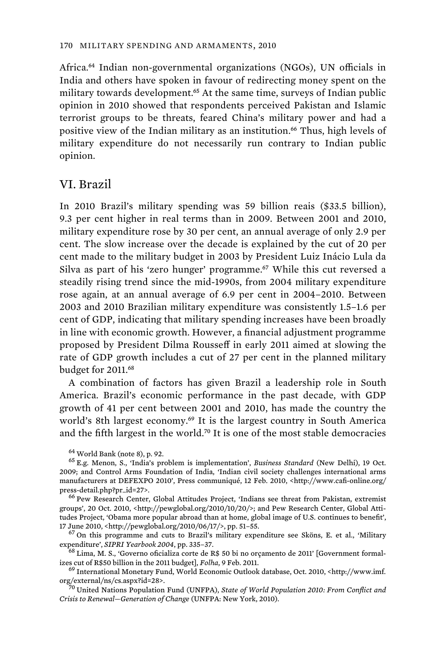Africa.<sup>64</sup> Indian non-governmental organizations (NGOs), UN officials in India and others have spoken in favour of redirecting money spent on the military towards development.<sup>65</sup> At the same time, surveys of Indian public opinion in 2010 showed that respondents perceived Pakistan and Islamic terrorist groups to be threats, feared China's military power and had a positive view of the Indian military as an institution.<sup>66</sup> Thus, high levels of military expenditure do not necessarily run contrary to Indian public opinion.

#### VI. Brazil

In 2010 Brazil's military spending was 59 billion reais (\$33.5 billion), 9.3 per cent higher in real terms than in 2009. Between 2001 and 2010, military expenditure rose by 30 per cent, an annual average of only 2.9 per cent. The slow increase over the decade is explained by the cut of 20 per cent made to the military budget in 2003 by President Luiz Inácio Lula da Silva as part of his 'zero hunger' programme.<sup>67</sup> While this cut reversed a steadily rising trend since the mid-1990s, from 2004 military expenditure rose again, at an annual average of 6.9 per cent in 2004–2010. Between 2003 and 2010 Brazilian military expenditure was consistently 1.5–1.6 per cent of GDP, indicating that military spending increases have been broadly in line with economic growth. However, a financial adjustment programme proposed by President Dilma Rousseff in early 2011 aimed at slowing the rate of GDP growth includes a cut of 27 per cent in the planned military budget for 2011.<sup>68</sup>

A combination of factors has given Brazil a leadership role in South America. Brazil's economic performance in the past decade, with GDP growth of 41 per cent between 2001 and 2010, has made the country the world's 8th largest economy.<sup>69</sup> It is the largest country in South America and the fifth largest in the world.<sup>70</sup> It is one of the most stable democracies

groups', 20 Oct. 2010, <http://pewglobal.org/2010/10/20/>; and Pew Research Center, Global Attitudes Project, 'Obama more popular abroad than at home, global image of U.S. continues to benefit', 17 June 2010, <http://pewglobal.org/2010/06/17/>, pp. 51–55.  $^{67}$  On this programme and cuts to Brazil's military expenditure see Sköns, E. et al., 'Military

expenditure', *SIPRI Yearbook 2004*, pp. 335–37. 68 Lima, M. S., 'Governo oficializa corte de R\$ 50 bi no orçamento de 2011' [Government formal-

izes cut of R\$50 billion in the 2011 budget], *Folha*, 9 Feb. 2011.<br><sup>69</sup> International Monetary Fund, World Economic Outlook database, Oct. 2010, <http://www.imf.<br>org/external/ns/cs.aspx?id=28>.

<sup>70</sup> United Nations Population Fund (UNFPA), *State of World Population 2010: From Conflict and Crisis to Renewal—Generation of Change* (UNFPA: New York, 2010).

<sup>&</sup>lt;sup>64</sup> World Bank (note 8), p. 92.<br><sup>65</sup> E.g. Menon, S., 'India's problem is implementation', *Business Standard* (New Delhi), 19 Oct. 2009; and Control Arms Foundation of India, 'Indian civil society challenges international arms manufacturers at DEFEXPO 2010', Press communiqué, 12 Feb. 2010, <http://www.cafi-online.org/ press-detail.php?pr\_id=27>.<br><sup>66</sup> Pew Research Center, Global Attitudes Project, 'Indians see threat from Pakistan, extremist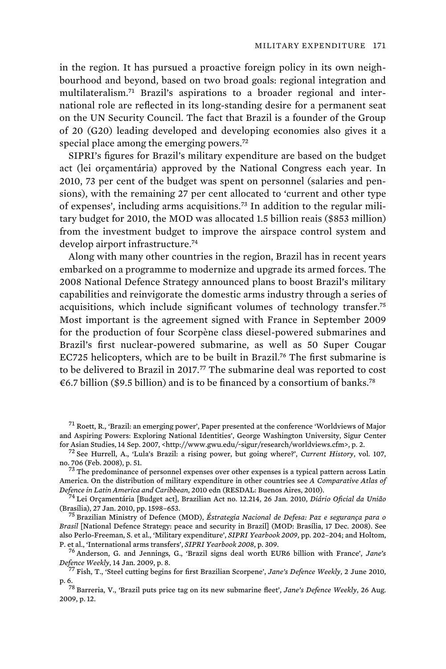in the region. It has pursued a proactive foreign policy in its own neighbourhood and beyond, based on two broad goals: regional integration and multilateralism.71 Brazil's aspirations to a broader regional and international role are reflected in its long-standing desire for a permanent seat on the UN Security Council. The fact that Brazil is a founder of the Group of 20 (G20) leading developed and developing economies also gives it a special place among the emerging powers.<sup>72</sup>

SIPRI's figures for Brazil's military expenditure are based on the budget act (lei orçamentária) approved by the National Congress each year. In 2010, 73 per cent of the budget was spent on personnel (salaries and pensions), with the remaining 27 per cent allocated to 'current and other type of expenses', including arms acquisitions.73 In addition to the regular military budget for 2010, the MOD was allocated 1.5 billion reais (\$853 million) from the investment budget to improve the airspace control system and develop airport infrastructure.<sup>74</sup>

Along with many other countries in the region, Brazil has in recent years embarked on a programme to modernize and upgrade its armed forces. The 2008 National Defence Strategy announced plans to boost Brazil's military capabilities and reinvigorate the domestic arms industry through a series of acquisitions, which include significant volumes of technology transfer.<sup>75</sup> Most important is the agreement signed with France in September 2009 for the production of four Scorpène class diesel-powered submarines and Brazil's first nuclear-powered submarine, as well as 50 Super Cougar EC725 helicopters, which are to be built in Brazil.<sup>76</sup> The first submarine is to be delivered to Brazil in 2017.<sup>77</sup> The submarine deal was reported to cost €6.7 billion (\$9.5 billion) and is to be financed by a consortium of banks.<sup>78</sup>

(Brasília), 27 Jan. 2010, pp. 1598–653. 75 Brazilian Ministry of Defence (MOD), *Éstrategia Nacional de Defesa: Paz e segurança para o* 

*Brasil* [National Defence Strategy: peace and security in Brazil] (MOD: Brasília, 17 Dec. 2008). See also Perlo-Freeman, S. et al., 'Military expenditure', *SIPRI Yearbook 2009*, pp. 202–204; and Holtom,<br>P. et al., 'International arms transfers', *SIPRI Yearbook 2008*, p. 309.

<sup>76</sup> Anderson, G. and Jennings, G., 'Brazil signs deal worth EUR6 billion with France', *Jane's Defence Weekly*, 14 Jan. 2009, p. 8. 77 Fish, T., 'Steel cutting begins for first Brazilian Scorpene', *Jane's Defence Weekly*, 2 June 2010,

<sup>&</sup>lt;sup>71</sup> Roett, R., 'Brazil: an emerging power', Paper presented at the conference 'Worldviews of Major' and Aspiring Powers: Exploring National Identities', George Washington University, Sigur Center<br>for Asian Studies, 14 Sep. 2007, <http://www.gwu.edu/-sigur/research/worldviews.cfm>, p. 2.

<sup>&</sup>lt;sup>72</sup> See Hurrell, A., 'Lula's Brazil: a rising power, but going where?', *Current History*, vol. 107, no. 706 (Feb. 2008), p. 51.

 $^{73}$  The predominance of personnel expenses over other expenses is a typical pattern across Latin America. On the distribution of military expenditure in other countries see *A Comparative Atlas of Defence in Latin America and Caribbean*, 2010 edn (RESDAL: Buenos Aires, 2010). 74 Lei Orçamentária [Budget act], Brazilian Act no. 12.214, 26 Jan. 2010, *Diário Oficial da União*

p. 6. 78 Barreria, V., 'Brazil puts price tag on its new submarine fleet', *Jane's Defence Weekly*, 26 Aug. 2009, p. 12.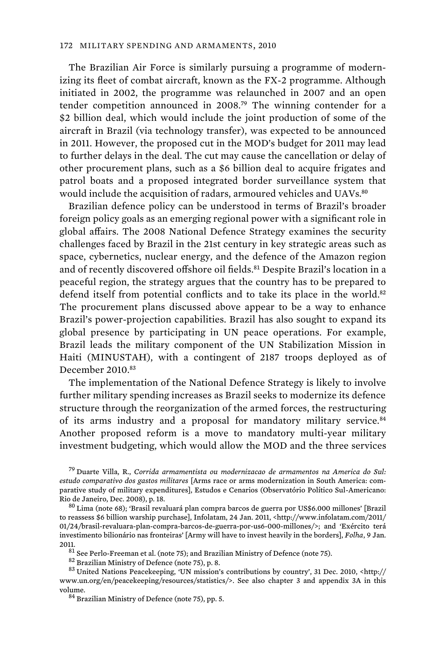The Brazilian Air Force is similarly pursuing a programme of modernizing its fleet of combat aircraft, known as the FX-2 programme. Although initiated in 2002, the programme was relaunched in 2007 and an open tender competition announced in 2008.<sup>79</sup> The winning contender for a \$2 billion deal, which would include the joint production of some of the aircraft in Brazil (via technology transfer), was expected to be announced in 2011. However, the proposed cut in the MOD's budget for 2011 may lead to further delays in the deal. The cut may cause the cancellation or delay of other procurement plans, such as a \$6 billion deal to acquire frigates and patrol boats and a proposed integrated border surveillance system that would include the acquisition of radars, armoured vehicles and UAVs.<sup>80</sup>

Brazilian defence policy can be understood in terms of Brazil's broader foreign policy goals as an emerging regional power with a significant role in global affairs. The 2008 National Defence Strategy examines the security challenges faced by Brazil in the 21st century in key strategic areas such as space, cybernetics, nuclear energy, and the defence of the Amazon region and of recently discovered offshore oil fields.<sup>81</sup> Despite Brazil's location in a peaceful region, the strategy argues that the country has to be prepared to defend itself from potential conflicts and to take its place in the world.<sup>82</sup> The procurement plans discussed above appear to be a way to enhance Brazil's power-projection capabilities. Brazil has also sought to expand its global presence by participating in UN peace operations. For example, Brazil leads the military component of the UN Stabilization Mission in Haiti (MINUSTAH), with a contingent of 2187 troops deployed as of December 2010.83

The implementation of the National Defence Strategy is likely to involve further military spending increases as Brazil seeks to modernize its defence structure through the reorganization of the armed forces, the restructuring of its arms industry and a proposal for mandatory military service.<sup>84</sup> Another proposed reform is a move to mandatory multi-year military investment budgeting, which would allow the MOD and the three services

<sup>79</sup> Duarte Villa, R., *Corrida armamentista ou modernizacao de armamentos na America do Sul: estudo comparativo dos gastos militares* [Arms race or arms modernization in South America: comparative study of military expenditures], Estudos e Cenarios (Observatório Político Sul-Americano:<br>Rio de Janeiro, Dec. 2008), p. 18.

 $^{80}$  Lima (note 68); 'Brasil revaluará plan compra barcos de guerra por US\$6.000 millones' [Brazil to reassess \$6 billion warship purchase], Infolatam, 24 Jan. 2011, <http://www.infolatam.com/2011/ 01/24/brasil-revaluara-plan-compra-barcos-de-guerra-por-us6-000-millones/>; and 'Exército terá investimento bilionário nas fronteiras' [Army will have to invest heavily in the borders], *Folha*, 9 Jan.

<sup>2011.&</sup>lt;br><sup>81</sup> See Perlo-Freeman et al. (note 75); and Brazilian Ministry of Defence (note 75).<br><sup>82</sup> Brazilian Ministry of Defence (note 75), p. 8.<br><sup>83</sup> United Nations Peacekeeping, 'UN mission's contributions by country', 31 www.un.org/en/peacekeeping/resources/statistics/>. See also chapter 3 and appendix 3A in this volume.<br><sup>84</sup> Brazilian Ministry of Defence (note 75), pp. 5.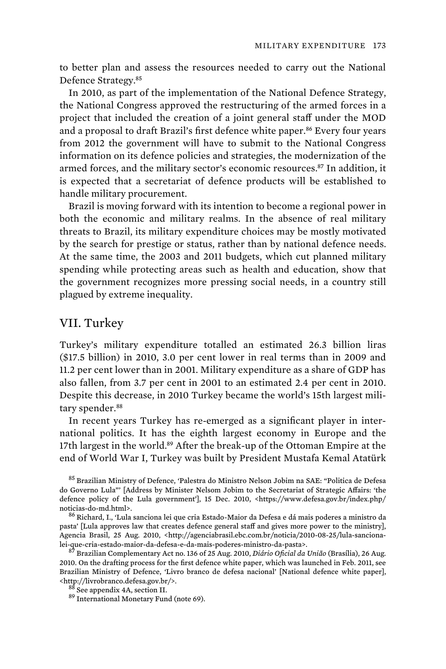to better plan and assess the resources needed to carry out the National Defence Strategy.<sup>85</sup>

In 2010, as part of the implementation of the National Defence Strategy, the National Congress approved the restructuring of the armed forces in a project that included the creation of a joint general staff under the MOD and a proposal to draft Brazil's first defence white paper.<sup>86</sup> Every four years from 2012 the government will have to submit to the National Congress information on its defence policies and strategies, the modernization of the armed forces, and the military sector's economic resources.<sup>87</sup> In addition, it is expected that a secretariat of defence products will be established to handle military procurement.

Brazil is moving forward with its intention to become a regional power in both the economic and military realms. In the absence of real military threats to Brazil, its military expenditure choices may be mostly motivated by the search for prestige or status, rather than by national defence needs. At the same time, the 2003 and 2011 budgets, which cut planned military spending while protecting areas such as health and education, show that the government recognizes more pressing social needs, in a country still plagued by extreme inequality.

# VII. Turkey

Turkey's military expenditure totalled an estimated 26.3 billion liras (\$17.5 billion) in 2010, 3.0 per cent lower in real terms than in 2009 and 11.2 per cent lower than in 2001. Military expenditure as a share of GDP has also fallen, from 3.7 per cent in 2001 to an estimated 2.4 per cent in 2010. Despite this decrease, in 2010 Turkey became the world's 15th largest military spender.<sup>88</sup>

In recent years Turkey has re-emerged as a significant player in international politics. It has the eighth largest economy in Europe and the 17th largest in the world.<sup>89</sup> After the break-up of the Ottoman Empire at the end of World War I, Turkey was built by President Mustafa Kemal Atatürk

<sup>85</sup> Brazilian Ministry of Defence, 'Palestra do Ministro Nelson Jobim na SAE: "Politica de Defesa do Governo Lula"' [Address by Minister Nelsom Jobim to the Secretariat of Strategic Affairs: 'the defence policy of the Lula government'], 15 Dec. 2010, <https://www.defesa.gov.br/index.php/ noticias-do-md.html>.<br><sup>86</sup> Richard, I., 'Lula sanciona lei que cria Estado-Maior da Defesa e dá mais poderes a ministro da

pasta' [Lula approves law that creates defence general staff and gives more power to the ministry], Agencia Brasil, 25 Aug. 2010, <http://agenciabrasil.ebc.com.br/noticia/2010-08-25/lula-sancionalei-que-cria-estado-maior-da-defesa-e-da-mais-poderes-ministro-da-pasta>. 87 Brazilian Complementary Act no. 136 of 25 Aug. 2010, *Diário Oficial da União* (Brasília), 26 Aug.

2010. On the drafting process for the first defence white paper, which was launched in Feb. 2011, see Brazilian Ministry of Defence, 'Livro branco de defesa nacional' [National defence white paper], %% <http://livrobranco.defesa.gov.br/>. $\frac{88}{3}$  See appendix 4A, section II. 89 International Monetary Fund (note 69).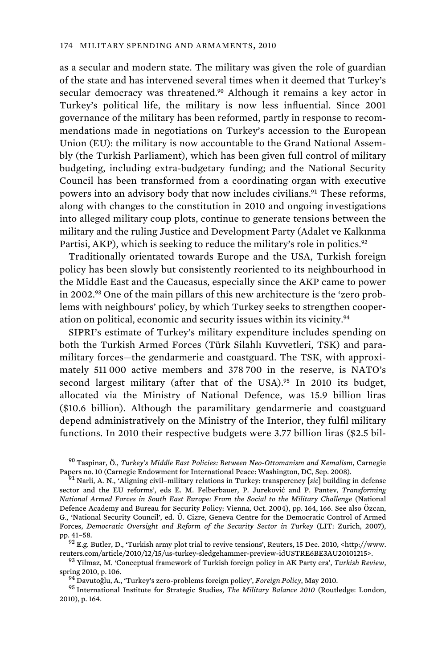as a secular and modern state. The military was given the role of guardian of the state and has intervened several times when it deemed that Turkey's secular democracy was threatened.<sup>90</sup> Although it remains a key actor in Turkey's political life, the military is now less influential. Since 2001 governance of the military has been reformed, partly in response to recommendations made in negotiations on Turkey's accession to the European Union (EU): the military is now accountable to the Grand National Assembly (the Turkish Parliament), which has been given full control of military budgeting, including extra-budgetary funding; and the National Security Council has been transformed from a coordinating organ with executive powers into an advisory body that now includes civilians.<sup>91</sup> These reforms, along with changes to the constitution in 2010 and ongoing investigations into alleged military coup plots, continue to generate tensions between the military and the ruling Justice and Development Party (Adalet ve Kalkınma Partisi, AKP), which is seeking to reduce the military's role in politics.<sup>92</sup>

Traditionally orientated towards Europe and the USA, Turkish foreign policy has been slowly but consistently reoriented to its neighbourhood in the Middle East and the Caucasus, especially since the AKP came to power in 2002.93 One of the main pillars of this new architecture is the 'zero problems with neighbours' policy, by which Turkey seeks to strengthen cooperation on political, economic and security issues within its vicinity.<sup>94</sup>

SIPRI's estimate of Turkey's military expenditure includes spending on both the Turkish Armed Forces (Türk Silahlı Kuvvetleri, TSK) and paramilitary forces—the gendarmerie and coastguard. The TSK, with approximately 511 000 active members and 378 700 in the reserve, is NATO's second largest military (after that of the USA).<sup>95</sup> In 2010 its budget, allocated via the Ministry of National Defence, was 15.9 billion liras (\$10.6 billion). Although the paramilitary gendarmerie and coastguard depend administratively on the Ministry of the Interior, they fulfil military functions. In 2010 their respective budgets were 3.77 billion liras (\$2.5 bil-

<sup>90</sup> Taspinar, Ö., *Turkey's Middle East Policies: Between Neo-Ottomanism and Kemalism*, Carnegie

<sup>91</sup> Narli, A. N., 'Aligning civil–military relations in Turkey: transperency [*sic*] building in defense sector and the EU reforms', eds E. M. Felberbauer, P. Jureković and P. Pantev, *Transforming National Armed Forces in South East Europe: From the Social to the Military Challenge* (National Defence Academy and Bureau for Security Policy: Vienna, Oct. 2004), pp. 164, 166. See also Özcan, G., 'National Security Council', ed. Ü. Cizre, Geneva Centre for the Democratic Control of Armed Forces, *Democratic Oversight and Reform of the Security Sector in Turkey* (LIT: Zurich, 2007),

 $92$  E.g. Butler, D., 'Turkish army plot trial to revive tensions', Reuters, 15 Dec. 2010, <http://www. reuters.com/article/2010/12/15/us-turkey-sledgehammer-preview-idUSTRE6BE3AU20101215>. 93 Yilmaz, M. 'Conceptual framework of Turkish foreign policy in AK Party era', *Turkish Review*,

spring 2010, p. 106. 94 Davutoğlu, A., 'Turkey's zero-problems foreign policy', *Foreign Policy*, May 2010. 95 International Institute for Strategic Studies, *The Military Balance 2010* (Routledge: London, 2010), p. 164.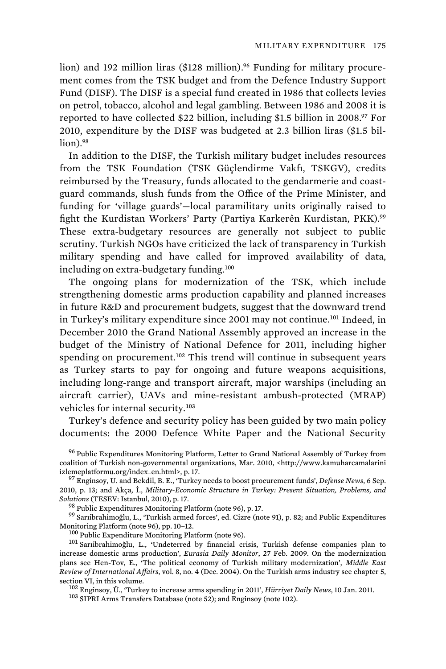lion) and 192 million liras (\$128 million).<sup>96</sup> Funding for military procurement comes from the TSK budget and from the Defence Industry Support Fund (DISF). The DISF is a special fund created in 1986 that collects levies on petrol, tobacco, alcohol and legal gambling. Between 1986 and 2008 it is reported to have collected \$22 billion, including \$1.5 billion in 2008.<sup>97</sup> For 2010, expenditure by the DISF was budgeted at 2.3 billion liras (\$1.5 billion).<sup>98</sup>

In addition to the DISF, the Turkish military budget includes resources from the TSK Foundation (TSK Güçlendirme Vakfı, TSKGV), credits reimbursed by the Treasury, funds allocated to the gendarmerie and coastguard commands, slush funds from the Office of the Prime Minister, and funding for 'village guards'—local paramilitary units originally raised to fight the Kurdistan Workers' Party (Partiya Karkerên Kurdistan, PKK).<sup>99</sup> These extra-budgetary resources are generally not subject to public scrutiny. Turkish NGOs have criticized the lack of transparency in Turkish military spending and have called for improved availability of data, including on extra-budgetary funding.<sup>100</sup>

The ongoing plans for modernization of the TSK, which include strengthening domestic arms production capability and planned increases in future R&D and procurement budgets, suggest that the downward trend in Turkey's military expenditure since 2001 may not continue.<sup>101</sup> Indeed, in December 2010 the Grand National Assembly approved an increase in the budget of the Ministry of National Defence for 2011, including higher spending on procurement.<sup>102</sup> This trend will continue in subsequent years as Turkey starts to pay for ongoing and future weapons acquisitions, including long-range and transport aircraft, major warships (including an aircraft carrier), UAVs and mine-resistant ambush-protected (MRAP) vehicles for internal security.<sup>103</sup>

Turkey's defence and security policy has been guided by two main policy documents: the 2000 Defence White Paper and the National Security

<sup>96</sup> Public Expenditures Monitoring Platform, Letter to Grand National Assembly of Turkey from coalition of Turkish non-governmental organizations, Mar. 2010, <http://www.kamuharcamalarini izlemeplatformu.org/index\_en.html>, p. 17. 97 Enginsoy, U. and Bekdil, B. E., 'Turkey needs to boost procurement funds', *Defense News*, 6 Sep.

2010, p. 13; and Akça, İ., *Military-Economic Structure in Turkey: Present Situation, Problems, and* 

<sup>98</sup> Public Expenditures Monitoring Platform (note 96), p. 17. 99 Sariibrahimoğlu, L., 'Turkish armed forces', ed. Cizre (note 91), p. 82; and Public Expenditures

Monitoring Platform (note 96), pp. 10–12.  $^{100}$  Public Expenditure Monitoring Platform (note 96).  $^{101}$  Sarıibrahimoğlu, L., 'Undeterred by financial crisis, Turkish defense companies plan to increase domestic arms production', *Eurasia Daily Monitor*, 27 Feb. 2009. On the modernization plans see Hen-Tov, E., 'The political economy of Turkish military modernization', *Middle East Review of International Affairs*, vol. 8, no. 4 (Dec. 2004). On the Turkish arms industry see chapter 5, section VI, in this volume.<br><sup>102</sup> Enginsoy, Ü., 'Turkey to increase arms spending in 2011', *Hürriyet Daily News*, 10 Jan. 2011.<br><sup>103</sup> SIPRI Arms Transfers Database (note 52); and Enginsoy (note 102).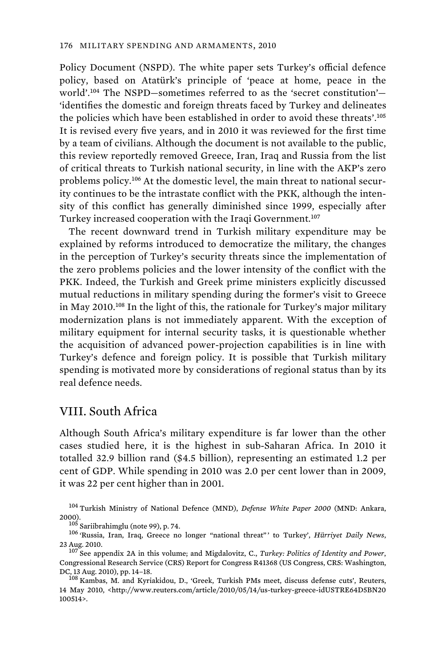Policy Document (NSPD). The white paper sets Turkey's official defence policy, based on Atatürk's principle of 'peace at home, peace in the world'.<sup>104</sup> The NSPD—sometimes referred to as the 'secret constitution'— 'identifies the domestic and foreign threats faced by Turkey and delineates the policies which have been established in order to avoid these threats'.<sup>105</sup> It is revised every five years, and in 2010 it was reviewed for the first time by a team of civilians. Although the document is not available to the public, this review reportedly removed Greece, Iran, Iraq and Russia from the list of critical threats to Turkish national security, in line with the AKP's zero problems policy.106 At the domestic level, the main threat to national security continues to be the intrastate conflict with the PKK, although the intensity of this conflict has generally diminished since 1999, especially after Turkey increased cooperation with the Iraqi Government.<sup>107</sup>

The recent downward trend in Turkish military expenditure may be explained by reforms introduced to democratize the military, the changes in the perception of Turkey's security threats since the implementation of the zero problems policies and the lower intensity of the conflict with the PKK. Indeed, the Turkish and Greek prime ministers explicitly discussed mutual reductions in military spending during the former's visit to Greece in May 2010.<sup>108</sup> In the light of this, the rationale for Turkey's major military modernization plans is not immediately apparent. With the exception of military equipment for internal security tasks, it is questionable whether the acquisition of advanced power-projection capabilities is in line with Turkey's defence and foreign policy. It is possible that Turkish military spending is motivated more by considerations of regional status than by its real defence needs.

## VIII. South Africa

Although South Africa's military expenditure is far lower than the other cases studied here, it is the highest in sub-Saharan Africa. In 2010 it totalled 32.9 billion rand (\$4.5 billion), representing an estimated 1.2 per cent of GDP. While spending in 2010 was 2.0 per cent lower than in 2009, it was 22 per cent higher than in 2001.

<sup>104</sup> Turkish Ministry of National Defence (MND), *Defense White Paper 2000* (MND: Ankara,

2000).<br><sup>105</sup> Sariibrahimglu (note 99), p. 74.<br><sup>106</sup> 'Russia, Iran, Iraq, Greece no longer "national threat"' to Turkey', *Hürriyet Daily News*, 23 Aug. 2010. 107 See appendix 2A in this volume; and Migdalovitz, C., *Turkey: Politics of Identity and Power*,

14 May 2010, <http://www.reuters.com/article/2010/05/14/us-turkey-greece-idUSTRE64D5BN20 100514>.

Congressional Research Service (CRS) Report for Congress R41368 (US Congress, CRS: Washington, DC, 13 Aug. 2010), pp. 14–18.<br><sup>108</sup> Kambas, M. and Kyriakidou, D., 'Greek, Turkish PMs meet, discuss defense cuts', Reuters,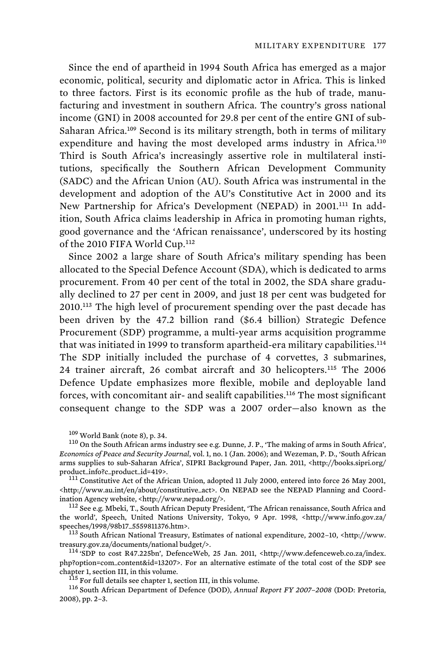Since the end of apartheid in 1994 South Africa has emerged as a major economic, political, security and diplomatic actor in Africa. This is linked to three factors. First is its economic profile as the hub of trade, manufacturing and investment in southern Africa. The country's gross national income (GNI) in 2008 accounted for 29.8 per cent of the entire GNI of sub-Saharan Africa.<sup>109</sup> Second is its military strength, both in terms of military expenditure and having the most developed arms industry in Africa.<sup>110</sup> Third is South Africa's increasingly assertive role in multilateral institutions, specifically the Southern African Development Community (SADC) and the African Union (AU). South Africa was instrumental in the development and adoption of the AU's Constitutive Act in 2000 and its New Partnership for Africa's Development (NEPAD) in 2001.<sup>111</sup> In addition, South Africa claims leadership in Africa in promoting human rights, good governance and the 'African renaissance', underscored by its hosting of the 2010 FIFA World Cup.<sup>112</sup>

Since 2002 a large share of South Africa's military spending has been allocated to the Special Defence Account (SDA), which is dedicated to arms procurement. From 40 per cent of the total in 2002, the SDA share gradually declined to 27 per cent in 2009, and just 18 per cent was budgeted for 2010.<sup>113</sup> The high level of procurement spending over the past decade has been driven by the 47.2 billion rand (\$6.4 billion) Strategic Defence Procurement (SDP) programme, a multi-year arms acquisition programme that was initiated in 1999 to transform apartheid-era military capabilities.<sup>114</sup> The SDP initially included the purchase of 4 corvettes, 3 submarines, 24 trainer aircraft, 26 combat aircraft and 30 helicopters.<sup>115</sup> The 2006 Defence Update emphasizes more flexible, mobile and deployable land forces, with concomitant air- and sealift capabilities.<sup>116</sup> The most significant consequent change to the SDP was a 2007 order—also known as the

<http://www.au.int/en/about/constitutive\_act>. On NEPAD see the NEPAD Planning and Coord-<br>ination Agency website, <http://www.nepad.org/>.

<sup>112</sup> See e.g. Mbeki, T., South African Deputy President, 'The African renaissance, South Africa and the world', Speech, United Nations University, Tokyo, 9 Apr. 1998, <http://www.info.gov.za/ speeches/1998/98b17\_5559811376.htm>. 113 South African National Treasury, Estimates of national expenditure, 2002–10, <http://www.

treasury.gov.za/documents/national budget/>. 114 'SDP to cost R47.225bn', DefenceWeb, 25 Jan. 2011, <http://www.defenceweb.co.za/index.

php?option=com\_content&id=13207>. For an alternative estimate of the total cost of the SDP see chapter 1, section III, in this volume.<br><sup>115</sup> For full details see chapter 1, section III, in this volume.<br><sup>116</sup> South African Department of Defence (DOD), *Annual Report FY 2007–2008* (DOD: Pretoria,

2008), pp. 2–3.

 $^{109}$  World Bank (note 8), p. 34.<br> $^{110}$  On the South African arms industry see e.g. Dunne, J. P., 'The making of arms in South Africa', *Economics of Peace and Security Journal*, vol. 1, no. 1 (Jan. 2006); and Wezeman, P. D., 'South African arms supplies to sub-Saharan Africa', SIPRI Background Paper, Jan. 2011, <http://books.sipri.org/ product\_info?c\_product\_id=419>.<br><sup>111</sup> Constitutive Act of the African Union, adopted 11 July 2000, entered into force 26 May 2001,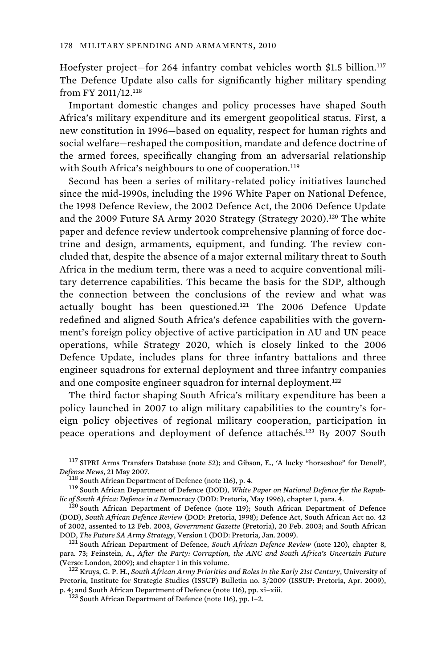Hoefyster project—for 264 infantry combat vehicles worth \$1.5 billion.<sup>117</sup> The Defence Update also calls for significantly higher military spending from FY 2011/12.<sup>118</sup>

Important domestic changes and policy processes have shaped South Africa's military expenditure and its emergent geopolitical status. First, a new constitution in 1996—based on equality, respect for human rights and social welfare—reshaped the composition, mandate and defence doctrine of the armed forces, specifically changing from an adversarial relationship with South Africa's neighbours to one of cooperation.<sup>119</sup>

Second has been a series of military-related policy initiatives launched since the mid-1990s, including the 1996 White Paper on National Defence, the 1998 Defence Review, the 2002 Defence Act, the 2006 Defence Update and the 2009 Future SA Army 2020 Strategy (Strategy 2020).<sup>120</sup> The white paper and defence review undertook comprehensive planning of force doctrine and design, armaments, equipment, and funding. The review concluded that, despite the absence of a major external military threat to South Africa in the medium term, there was a need to acquire conventional military deterrence capabilities. This became the basis for the SDP, although the connection between the conclusions of the review and what was actually bought has been questioned.<sup>121</sup> The 2006 Defence Update redefined and aligned South Africa's defence capabilities with the government's foreign policy objective of active participation in AU and UN peace operations, while Strategy 2020, which is closely linked to the 2006 Defence Update, includes plans for three infantry battalions and three engineer squadrons for external deployment and three infantry companies and one composite engineer squadron for internal deployment.<sup>122</sup>

The third factor shaping South Africa's military expenditure has been a policy launched in 2007 to align military capabilities to the country's foreign policy objectives of regional military cooperation, participation in peace operations and deployment of defence attachés.<sup>123</sup> By 2007 South

<sup>117</sup> SIPRI Arms Transfers Database (note 52); and Gibson, E., 'A lucky "horseshoe" for Denel?',

*Defense News, 21 May 2007.*<br><sup>118</sup> South African Department of Defence (note 116), p. 4.<br><sup>119</sup> South African Department of Defence (DOD), *White Paper on National Defence for the Repub-*<br>*lic of South Africa: Defence in a* 

Pretoria, Institute for Strategic Studies (ISSUP) Bulletin no. 3/2009 (ISSUP: Pretoria, Apr. 2009), p. 4; and South African Department of Defence (note 116), pp. xi–xiii.<br><sup>123</sup> South African Department of Defence (note 116), pp. 1–2.

<sup>&</sup>lt;sup>20</sup> South African Department of Defence (note 119); South African Department of Defence (DOD), *South African Defence Review* (DOD: Pretoria, 1998); Defence Act, South African Act no. 42 of 2002, assented to 12 Feb. 2003, *Government Gazette* (Pretoria), 20 Feb. 2003; and South African

<sup>&</sup>lt;sup>121</sup> South African Department of Defence, *South African Defence Review* (note 120), chapter 8, para. 73; Feinstein, A., *After the Party: Corruption, the ANC and South Africa's Uncertain Future* (Verso: London, 2009); and chapter 1 in this volume.<br><sup>122</sup> Kruys, G. P. H., *South African Army Priorities and Roles in the Early 21st Century*, University of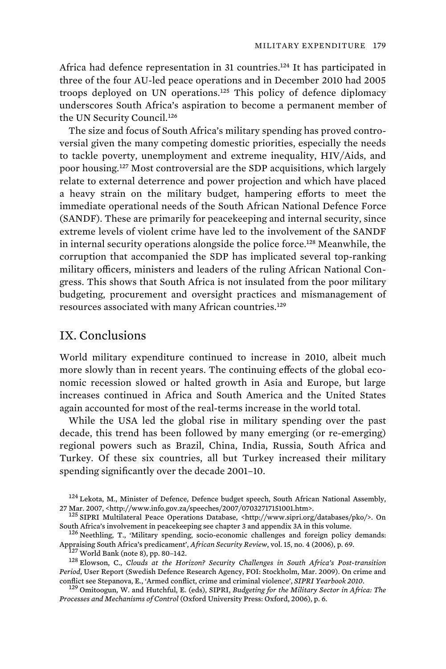Africa had defence representation in 31 countries.<sup>124</sup> It has participated in three of the four AU-led peace operations and in December 2010 had 2005 troops deployed on UN operations.<sup>125</sup> This policy of defence diplomacy underscores South Africa's aspiration to become a permanent member of the UN Security Council.<sup>126</sup>

The size and focus of South Africa's military spending has proved controversial given the many competing domestic priorities, especially the needs to tackle poverty, unemployment and extreme inequality, HIV/Aids, and poor housing.<sup>127</sup> Most controversial are the SDP acquisitions, which largely relate to external deterrence and power projection and which have placed a heavy strain on the military budget, hampering efforts to meet the immediate operational needs of the South African National Defence Force (SANDF). These are primarily for peacekeeping and internal security, since extreme levels of violent crime have led to the involvement of the SANDF in internal security operations alongside the police force.<sup>128</sup> Meanwhile, the corruption that accompanied the SDP has implicated several top-ranking military officers, ministers and leaders of the ruling African National Congress. This shows that South Africa is not insulated from the poor military budgeting, procurement and oversight practices and mismanagement of resources associated with many African countries.<sup>129</sup>

# IX. Conclusions

World military expenditure continued to increase in 2010, albeit much more slowly than in recent years. The continuing effects of the global economic recession slowed or halted growth in Asia and Europe, but large increases continued in Africa and South America and the United States again accounted for most of the real-terms increase in the world total.

While the USA led the global rise in military spending over the past decade, this trend has been followed by many emerging (or re-emerging) regional powers such as Brazil, China, India, Russia, South Africa and Turkey. Of these six countries, all but Turkey increased their military spending significantly over the decade 2001–10.

<sup>&</sup>lt;sup>124</sup> Lekota, M., Minister of Defence, Defence budget speech, South African National Assembly, 27 Mar. 2007, <http://www.info.gov.za/speeches/2007/07032717151001.htm>.<br><sup>125</sup> SIPRI Multilateral Peace Operations Database, <http://www.sipri.org/databases/pko/>. On

South Africa's involvement in peacekeeping see chapter 3 and appendix 3A in this volume.<br><sup>126</sup> Neethling, T., 'Military spending, socio-economic challenges and foreign policy demands:<br>App<u>raising South Africa's predicamen</u>

<sup>&</sup>lt;sup>127</sup> World Bank (note 8), pp. 80-142.<br><sup>128</sup> Elowson, C., Clouds at the Horizon? Security Challenges in South Africa's Post-transition *Period*, User Report (Swedish Defence Research Agency, FOI: Stockholm, Mar. 2009). On crime and conflict see Stepanova, E., 'Armed conflict, crime and criminal violence', *SIPRI Yearbook 2010*. 129 Omitoogun, W. and Hutchful, E. (eds), SIPRI, *Budgeting for the Military Sector in Africa: The* 

*Processes and Mechanisms of Control* (Oxford University Press: Oxford, 2006), p. 6.